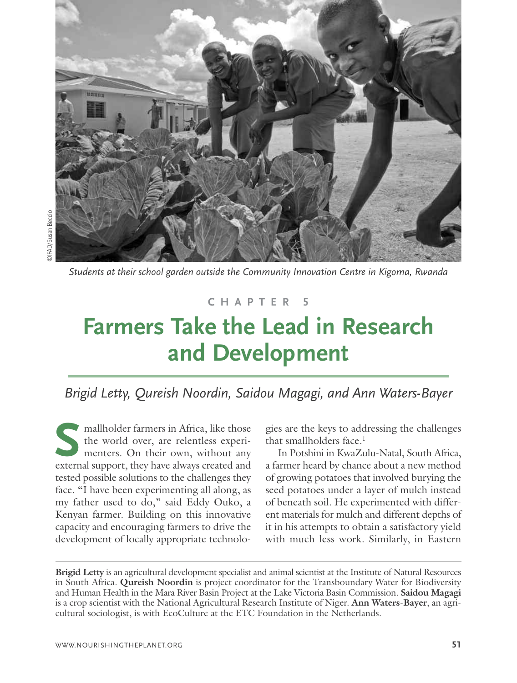

*Students at their school garden outside the Community Innovation Centre in Kigoma, Rwanda*

#### **C H A P T E R 5**

# **Farmers Take the Lead in Research and Development**

# *Brigid Letty, Qureish Noordin, Saidou Magagi, and Ann Waters-Bayer*

mallholder farmers in Africa, like those the world over, are relentless experimenters. On their own, without any mallholder farmers in Africa, like those<br>the world over, are relentless experi-<br>menters. On their own, without any<br>external support, they have always created and tested possible solutions to the challenges they face. "I have been experimenting all along, as my father used to do," said Eddy Ouko, a Kenyan farmer. Building on this innovative capacity and encouraging farmers to drive the development of locally appropriate technolo-

gies are the keys to addressing the challenges that smallholders face. 1

In Potshini in KwaZulu-Natal, South Africa, a farmer heard by chance about a new method of growing potatoes that involved burying the seed potatoes under a layer of mulch instead of beneath soil. He experimented with different materials for mulch and different depths of it in his attempts to obtain a satisfactory yield with much less work. Similarly, in Eastern

**Brigid Letty** is an agricultural development specialist and animal scientist at the Institute of Natural Resources in South Africa. **Qureish Noordin** is project coordinator for the Transboundary Water for Biodiversity and Human Health in the Mara River Basin Project at the Lake Victoria Basin Commission. **Saidou Magagi** is a crop scientist with the National Agricultural Research Institute of Niger. **Ann Waters-Bayer**, an agricultural sociologist, is with EcoCulture at the ETC Foundation in the Netherlands.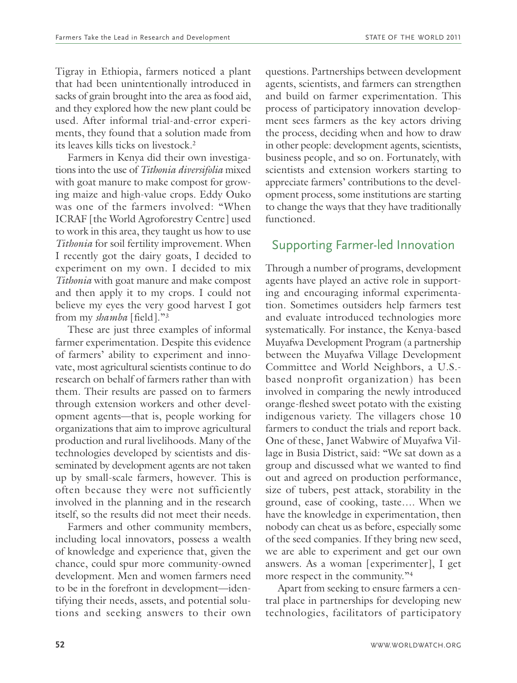Tigray in Ethiopia, farmers noticed a plant that had been unintentionally introduced in sacks of grain brought into the area as food aid, and they explored how the new plant could be used. After informal trial-and-error experiments, they found that a solution made from its leaves kills ticks on livestock. 2

Farmers in Kenya did their own investigations into the use of *Tithonia diversifolia* mixed with goat manure to make compost for growing maize and high-value crops. Eddy Ouko was one of the farmers involved: "When ICRAF [the World Agroforestry Centre] used to work in this area, they taught us how to use *Tithonia* for soil fertility improvement. When I recently got the dairy goats, I decided to experiment on my own. I decided to mix *Tithonia* with goat manure and make compost and then apply it to my crops. I could not believe my eyes the very good harvest I got from my *shamba* [field]."3

These are just three examples of informal farmer experimentation. Despite this evidence of farmers' ability to experiment and innovate, most agricultural scientists continue to do research on behalf of farmers rather than with them. Their results are passed on to farmers through extension workers and other development agents—that is, people working for organizations that aim to improve agricultural production and rural livelihoods. Many of the technologies developed by scientists and disseminated by development agents are not taken up by small-scale farmers, however. This is often because they were not sufficiently involved in the planning and in the research itself, so the results did not meet their needs.

Farmers and other community members, including local innovators, possess a wealth of knowledge and experience that, given the chance, could spur more community-owned development. Men and women farmers need to be in the forefront in development—identifying their needs, assets, and potential solutions and seeking answers to their own questions. Partnerships between development agents, scientists, and farmers can strengthen and build on farmer experimentation. This process of participatory innovation development sees farmers as the key actors driving the process, deciding when and how to draw in other people: development agents, scientists, business people, and so on. Fortunately, with scientists and extension workers starting to appreciate farmers' contributions to the development process, some institutions are starting to change the ways that they have traditionally functioned.

#### Supporting Farmer-led Innovation

Through a number of programs, development agents have played an active role in supporting and encouraging informal experimentation. Sometimes outsiders help farmers test and evaluate introduced technologies more systematically. For instance, the Kenya-based Muyafwa Development Program (a partnership between the Muyafwa Village Development Committee and World Neighbors, a U.S. based nonprofit organization) has been involved in comparing the newly introduced orange-fleshed sweet potato with the existing indigenous variety. The villagers chose 10 farmers to conduct the trials and report back. One of these, Janet Wabwire of Muyafwa Village in Busia District, said: "We sat down as a group and discussed what we wanted to find out and agreed on production performance, size of tubers, pest attack, storability in the ground, ease of cooking, taste…. When we have the knowledge in experimentation, then nobody can cheat us as before, especially some of the seed companies. If they bring new seed, we are able to experiment and get our own answers. As a woman [experimenter], I get more respect in the community."4

Apart from seeking to ensure farmers a central place in partnerships for developing new technologies, facilitators of participatory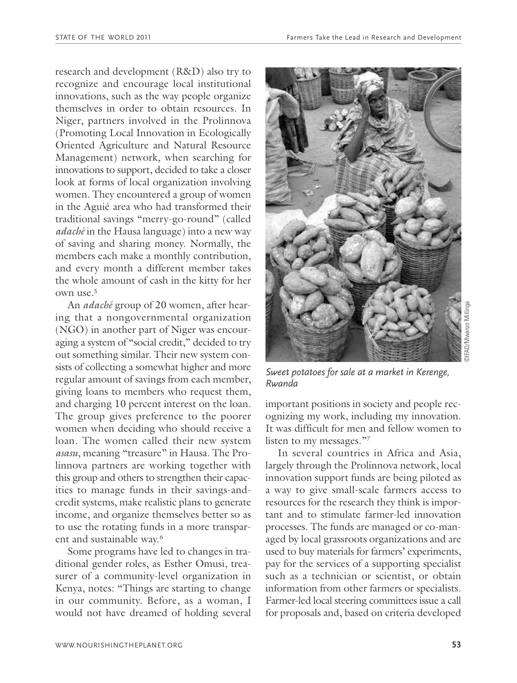research and development (R&D) also try to recognize and encourage local institutional innovations, such as the way people organize themselves in order to obtain resources. In Niger, partners involved in the Prolinnova (Promoting Local Innovation in Ecologically Oriented Agriculture and Natural Resource Management) network, when searching for innovations to support, decided to take a closer look at forms of local organization involving women. They encountered a group of women in the Aguié area who had transformed their traditional savings "merry-go-round" (called *adaché* in the Hausa language) into a new way of saving and sharing money. Normally, the members each make a monthly contribution, and every month a different member takes the whole amount of cash in the kitty for her own use. 5

An *adaché* group of 20 women, after hearing that a nongovernmental organization (NGO) in another part of Niger was encouraging a system of "social credit," decided to try out something similar. Their new system consists of collecting a somewhat higher and more regular amount of savings from each member, giving loans to members who request them, and charging 10 percent interest on the loan. The group gives preference to the poorer women when deciding who should receive a loan. The women called their new system *asasu*, meaning "treasure" in Hausa. The Prolinnova partners are working together with this group and others to strengthen their capacities to manage funds in their savings-andcredit systems, make realistic plans to generate income, and organize themselves better so as to use the rotating funds in a more transparent and sustainable way. 6

Some programs have led to changes in traditional gender roles, as Esther Omusi, treasurer of a community-level organization in Kenya, notes: "Things are starting to change in our community. Before, as a woman, I would not have dreamed of holding several



*Sweet potatoes for sale at a market in Kerenge, Rwanda*

important positions in society and people recognizing my work, including my innovation. It was difficult for men and fellow women to listen to my messages."7

In several countries in Africa and Asia, largely through the Prolinnova network, local innovation support funds are being piloted as a way to give small-scale farmers access to resources for the research they think is important and to stimulate farmer-led innovation processes. The funds are managed or co-managed by local grassroots organizations and are used to buy materials for farmers' experiments, pay for the services of a supporting specialist such as a technician or scientist, or obtain information from other farmers or specialists. Farmer-led local steering committees issue a call for proposals and, based on criteria developed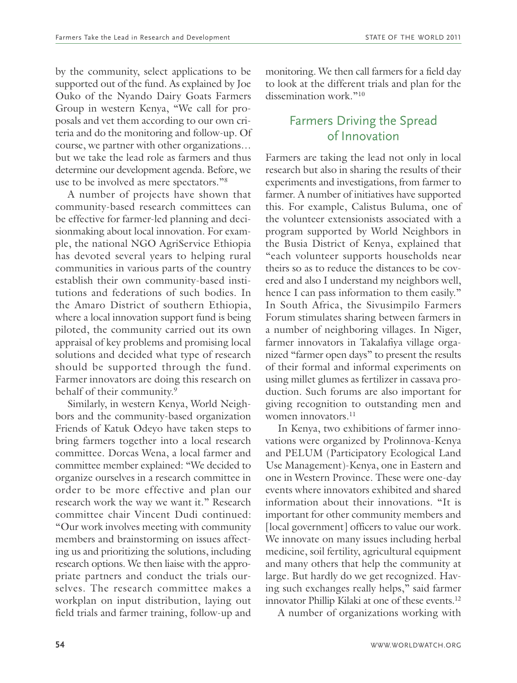by the community, select applications to be supported out of the fund. As explained by Joe Ouko of the Nyando Dairy Goats Farmers Group in western Kenya, "We call for proposals and vet them according to our own criteria and do the monitoring and follow-up. Of course, we partner with other organizations… but we take the lead role as farmers and thus determine our development agenda. Before, we use to be involved as mere spectators."8

A number of projects have shown that community-based research committees can be effective for farmer-led planning and decisionmaking about local innovation. For example, the national NGO AgriService Ethiopia has devoted several years to helping rural communities in various parts of the country establish their own community-based institutions and federations of such bodies. In the Amaro District of southern Ethiopia, where a local innovation support fund is being piloted, the community carried out its own appraisal of key problems and promising local solutions and decided what type of research should be supported through the fund. Farmer innovators are doing this research on behalf of their community. 9

Similarly, in western Kenya, World Neighbors and the community-based organization Friends of Katuk Odeyo have taken steps to bring farmers together into a local research committee. Dorcas Wena, a local farmer and committee member explained: "We decided to organize ourselves in a research committee in order to be more effective and plan our research work the way we want it." Research committee chair Vincent Dudi continued: "Our work involves meeting with community members and brainstorming on issues affecting us and prioritizing the solutions, including research options. We then liaise with the appropriate partners and conduct the trials ourselves. The research committee makes a workplan on input distribution, laying out field trials and farmer training, follow-up and monitoring. We then call farmers for a field day to look at the different trials and plan for the dissemination work<sup>"10</sup>

# Farmers Driving the Spread of Innovation

Farmers are taking the lead not only in local research but also in sharing the results of their experiments and investigations, from farmer to farmer. A number of initiatives have supported this. For example, Calistus Buluma, one of the volunteer extensionists associated with a program supported by World Neighbors in the Busia District of Kenya, explained that "each volunteer supports households near theirs so as to reduce the distances to be covered and also I understand my neighbors well, hence I can pass information to them easily." In South Africa, the Sivusimpilo Farmers Forum stimulates sharing between farmers in a number of neighboring villages. In Niger, farmer innovators in Takalafiya village organized "farmer open days" to present the results of their formal and informal experiments on using millet glumes as fertilizer in cassava production. Such forums are also important for giving recognition to outstanding men and women innovators. 11

In Kenya, two exhibitions of farmer innovations were organized by Prolinnova-Kenya and PELUM (Participatory Ecological Land Use Management)-Kenya, one in Eastern and one in Western Province. These were one-day events where innovators exhibited and shared information about their innovations. "It is important for other community members and [local government] officers to value our work. We innovate on many issues including herbal medicine, soil fertility, agricultural equipment and many others that help the community at large. But hardly do we get recognized. Having such exchanges really helps," said farmer innovator Phillip Kilaki at one of these events. 12

A number of organizations working with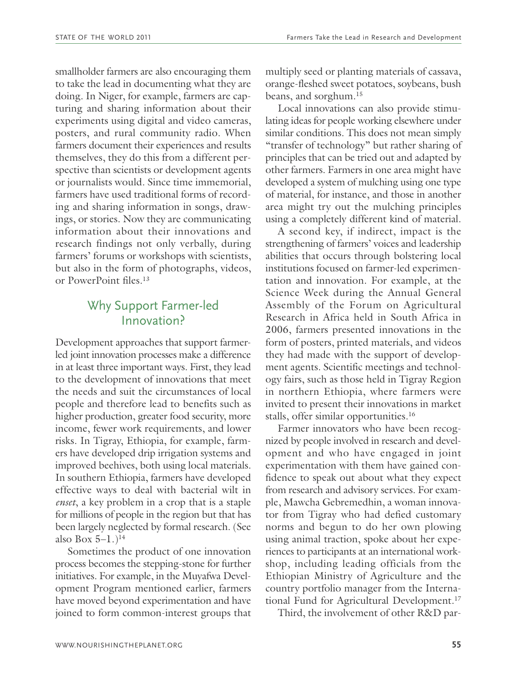smallholder farmers are also encouraging them to take the lead in documenting what they are doing. In Niger, for example, farmers are capturing and sharing information about their experiments using digital and video cameras, posters, and rural community radio. When farmers document their experiences and results themselves, they do this from a different perspective than scientists or development agents or journalists would. Since time immemorial, farmers have used traditional forms of recording and sharing information in songs, drawings, or stories. Now they are communicating information about their innovations and research findings not only verbally, during farmers' forums or workshops with scientists, but also in the form of photographs, videos, or PowerPoint files. 13

## Why Support Farmer-led Innovation?

Development approaches that support farmerled joint innovation processes make a difference in at least three important ways. First, they lead to the development of innovations that meet the needs and suit the circumstances of local people and therefore lead to benefits such as higher production, greater food security, more income, fewer work requirements, and lower risks. In Tigray, Ethiopia, for example, farmers have developed drip irrigation systems and improved beehives, both using local materials. In southern Ethiopia, farmers have developed effective ways to deal with bacterial wilt in *enset*, a key problem in a crop that is a staple for millions of people in the region but that has been largely neglected by formal research. (See also Box  $5-1.$ )<sup>14</sup>

Sometimes the product of one innovation process becomes the stepping-stone for further initiatives. For example, in the Muyafwa Development Program mentioned earlier, farmers have moved beyond experimentation and have joined to form common-interest groups that multiply seed or planting materials of cassava, orange-fleshed sweet potatoes, soybeans, bush beans, and sorghum. 15

Local innovations can also provide stimulating ideas for people working elsewhere under similar conditions. This does not mean simply "transfer of technology" but rather sharing of principles that can be tried out and adapted by other farmers. Farmers in one area might have developed a system of mulching using one type of material, for instance, and those in another area might try out the mulching principles using a completely different kind of material.

A second key, if indirect, impact is the strengthening of farmers' voices and leadership abilities that occurs through bolstering local institutions focused on farmer-led experimentation and innovation. For example, at the Science Week during the Annual General Assembly of the Forum on Agricultural Research in Africa held in South Africa in 2006, farmers presented innovations in the form of posters, printed materials, and videos they had made with the support of development agents. Scientific meetings and technology fairs, such as those held in Tigray Region in northern Ethiopia, where farmers were invited to present their innovations in market stalls, offer similar opportunities. 16

Farmer innovators who have been recognized by people involved in research and development and who have engaged in joint experimentation with them have gained confidence to speak out about what they expect from research and advisory services. For example, Mawcha Gebremedhin, a woman innovator from Tigray who had defied customary norms and begun to do her own plowing using animal traction, spoke about her experiences to participants at an international workshop, including leading officials from the Ethiopian Ministry of Agriculture and the country portfolio manager from the International Fund for Agricultural Development. 17

Third, the involvement of other R&D par-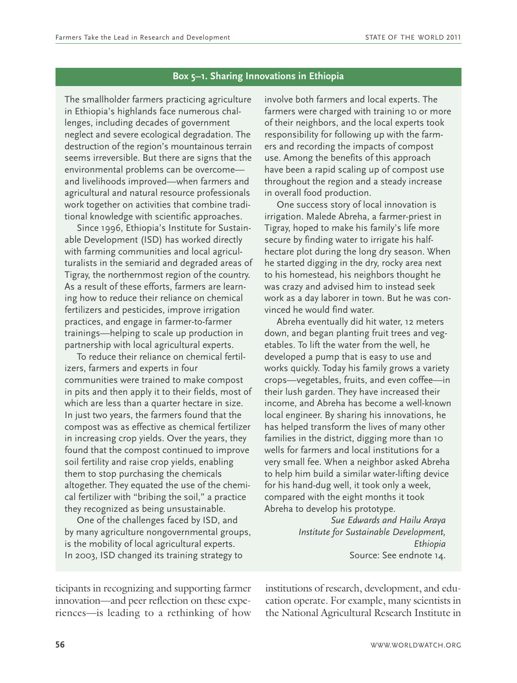#### **Box 5–1. Sharing Innovations in Ethiopia**

The smallholder farmers practicing agriculture in Ethiopia's highlands face numerous challenges, including decades of government neglect and severe ecological degradation. The destruction of the region's mountainous terrain seems irreversible. But there are signs that the environmental problems can be overcome and livelihoods improved—when farmers and agricultural and natural resource professionals work together on activities that combine traditional knowledge with scientific approaches.

Since 1996, Ethiopia's Institute for Sustainable Development (ISD) has worked directly with farming communities and local agriculturalists in the semiarid and degraded areas of Tigray, the northernmost region of the country. As a result of these efforts, farmers are learning how to reduce their reliance on chemical fertilizers and pesticides, improve irrigation practices, and engage in farmer-to-farmer trainings—helping to scale up production in partnership with local agricultural experts.

To reduce their reliance on chemical fertilizers, farmers and experts in four communities were trained to make compost in pits and then apply it to their fields, most of which are less than a quarter hectare in size. In just two years, the farmers found that the compost was as effective as chemical fertilizer in increasing crop yields. Over the years, they found that the compost continued to improve soil fertility and raise crop yields, enabling them to stop purchasing the chemicals altogether. They equated the use of the chemical fertilizer with "bribing the soil," a practice they recognized as being unsustainable.

One of the challenges faced by ISD, and by many agriculture nongovernmental groups, is the mobility of local agricultural experts. In 2003, ISD changed its training strategy to

involve both farmers and local experts. The farmers were charged with training 10 or more of their neighbors, and the local experts took responsibility for following up with the farmers and recording the impacts of compost use. Among the benefits of this approach have been a rapid scaling up of compost use throughout the region and a steady increase in overall food production.

One success story of local innovation is irrigation. Malede Abreha, a farmer-priest in Tigray, hoped to make his family's life more secure by finding water to irrigate his halfhectare plot during the long dry season. When he started digging in the dry, rocky area next to his homestead, his neighbors thought he was crazy and advised him to instead seek work as a day laborer in town. But he was convinced he would find water.

Abreha eventually did hit water, 12 meters down, and began planting fruit trees and vegetables. To lift the water from the well, he developed a pump that is easy to use and works quickly. Today his family grows a variety crops—vegetables, fruits, and even coffee—in their lush garden. They have increased their income, and Abreha has become a well-known local engineer. By sharing his innovations, he has helped transform the lives of many other families in the district, digging more than 10 wells for farmers and local institutions for a very small fee. When a neighbor asked Abreha to help him build a similar water-lifting device for his hand-dug well, it took only a week, compared with the eight months it took Abreha to develop his prototype.

> *Sue Edwards and Hailu Araya Institute for Sustainable Development, Ethiopia* Source: See endnote 14.

ticipants in recognizing and supporting farmer innovation—and peer reflection on these experiences—is leading to a rethinking of how institutions of research, development, and education operate. For example, many scientists in the National Agricultural Research Institute in